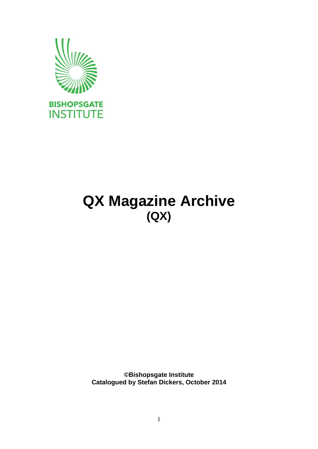

## **QX Magazine Archive (QX)**

**©Bishopsgate Institute Catalogued by Stefan Dickers, October 2014**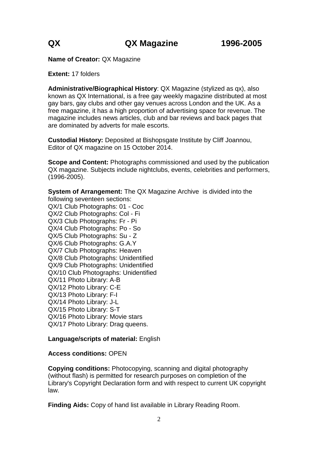**Name of Creator:** QX Magazine

**Extent:** 17 folders

**Administrative/Biographical History**: QX Magazine (stylized as qx), also known as QX International, is a free gay weekly magazine distributed at most gay bars, gay clubs and other gay venues across London and the UK. As a free magazine, it has a high proportion of advertising space for revenue. The magazine includes news articles, club and bar reviews and back pages that are dominated by adverts for male escorts.

**Custodial History:** Deposited at Bishopsgate Institute by Cliff Joannou, Editor of QX magazine on 15 October 2014.

**Scope and Content:** Photographs commissioned and used by the publication QX magazine. Subjects include nightclubs, events, celebrities and performers, (1996-2005).

**System of Arrangement:** The QX Magazine Archive is divided into the following seventeen sections: QX/1 Club Photographs: 01 - Coc QX/2 Club Photographs: Col - Fi QX/3 Club Photographs: Fr - Pi QX/4 Club Photographs: Po - So QX/5 Club Photographs: Su - Z QX/6 Club Photographs: G.A.Y QX/7 Club Photographs: Heaven QX/8 Club Photographs: Unidentified QX/9 Club Photographs: Unidentified QX/10 Club Photographs: Unidentified QX/11 Photo Library: A-B QX/12 Photo Library: C-E QX/13 Photo Library: F-I QX/14 Photo Library: J-L QX/15 Photo Library: S-T QX/16 Photo Library: Movie stars QX/17 Photo Library: Drag queens.

### **Language/scripts of material:** English

### **Access conditions:** OPEN

**Copying conditions:** Photocopying, scanning and digital photography (without flash) is permitted for research purposes on completion of the Library's Copyright Declaration form and with respect to current UK copyright law.

**Finding Aids:** Copy of hand list available in Library Reading Room.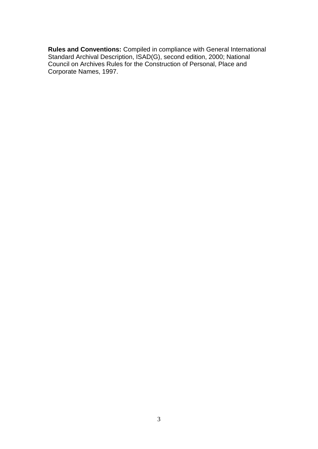**Rules and Conventions:** Compiled in compliance with General International Standard Archival Description, ISAD(G), second edition, 2000; National Council on Archives Rules for the Construction of Personal, Place and Corporate Names, 1997.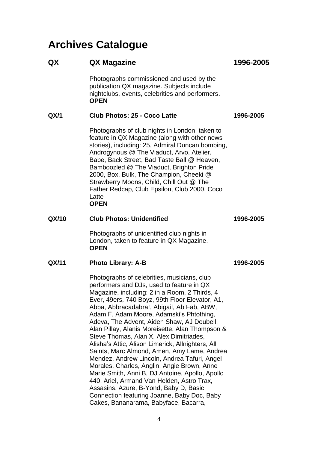## **Archives Catalogue**

| QX    | QX Magazine                                                                                                                                                                                                                                                                                                                                                                                                                                                                                                                                                                                                                                                                                                                                                                                                                                                              | 1996-2005 |
|-------|--------------------------------------------------------------------------------------------------------------------------------------------------------------------------------------------------------------------------------------------------------------------------------------------------------------------------------------------------------------------------------------------------------------------------------------------------------------------------------------------------------------------------------------------------------------------------------------------------------------------------------------------------------------------------------------------------------------------------------------------------------------------------------------------------------------------------------------------------------------------------|-----------|
|       | Photographs commissioned and used by the<br>publication QX magazine. Subjects include<br>nightclubs, events, celebrities and performers.<br><b>OPEN</b>                                                                                                                                                                                                                                                                                                                                                                                                                                                                                                                                                                                                                                                                                                                  |           |
| QX/1  | Club Photos: 25 - Coco Latte                                                                                                                                                                                                                                                                                                                                                                                                                                                                                                                                                                                                                                                                                                                                                                                                                                             | 1996-2005 |
|       | Photographs of club nights in London, taken to<br>feature in QX Magazine (along with other news<br>stories), including: 25, Admiral Duncan bombing,<br>Androgynous @ The Viaduct, Arvo, Atelier,<br>Babe, Back Street, Bad Taste Ball @ Heaven,<br>Bamboozled @ The Viaduct, Brighton Pride<br>2000, Box, Bulk, The Champion, Cheeki @<br>Strawberry Moons, Child, Chill Out @ The<br>Father Redcap, Club Epsilon, Club 2000, Coco<br>Latte<br><b>OPEN</b>                                                                                                                                                                                                                                                                                                                                                                                                               |           |
| QX/10 | <b>Club Photos: Unidentified</b>                                                                                                                                                                                                                                                                                                                                                                                                                                                                                                                                                                                                                                                                                                                                                                                                                                         | 1996-2005 |
|       | Photographs of unidentified club nights in<br>London, taken to feature in QX Magazine.<br><b>OPEN</b>                                                                                                                                                                                                                                                                                                                                                                                                                                                                                                                                                                                                                                                                                                                                                                    |           |
| QX/11 | <b>Photo Library: A-B</b>                                                                                                                                                                                                                                                                                                                                                                                                                                                                                                                                                                                                                                                                                                                                                                                                                                                | 1996-2005 |
|       | Photographs of celebrities, musicians, club<br>performers and DJs, used to feature in QX<br>Magazine, including: 2 in a Room, 2 Thirds, 4<br>Ever, 49ers, 740 Boyz, 99th Floor Elevator, A1,<br>Abba, Abbracadabra!, Abigail, Ab Fab, ABW,<br>Adam F, Adam Moore, Adamski's Phtothing,<br>Adeva, The Advent, Aiden Shaw, AJ Doubell,<br>Alan Pillay, Alanis Moreisette, Alan Thompson &<br>Steve Thomas, Alan X, Alex Dimitriades,<br>Alisha's Attic, Alison Limerick, Allnighters, All<br>Saints, Marc Almond, Amen, Amy Lame, Andrea<br>Mendez, Andrew Lincoln, Andrea Tafuri, Angel<br>Morales, Charles, Anglin, Angie Brown, Anne<br>Marie Smith, Anni B, DJ Antoine, Apollo, Apollo<br>440, Ariel, Armand Van Helden, Astro Trax,<br>Assasins, Azure, B-Yond, Baby D, Basic<br>Connection featuring Joanne, Baby Doc, Baby<br>Cakes, Bananarama, Babyface, Bacarra, |           |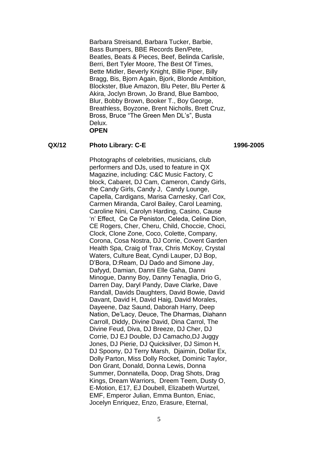Barbara Streisand, Barbara Tucker, Barbie, Bass Bumpers, BBE Records Ben/Pete, Beatles, Beats & Pieces, Beef, Belinda Carlisle, Berri, Bert Tyler Moore, The Best Of Times, Bette Midler, Beverly Knight, Billie Piper, Billy Bragg, Bis, Bjorn Again, Bjork, Blonde Ambition, Blockster, Blue Amazon, Blu Peter, Blu Perter & Akira, Joclyn Brown, Jo Brand, Blue Bamboo, Blur, Bobby Brown, Booker T., Boy George, Breathless, Boyzone, Brent Nicholls, Brett Cruz, Bross, Bruce "The Green Men DL's", Busta Delux. **OPEN**

### **QX/12 Photo Library: C-E 1996-2005**

Photographs of celebrities, musicians, club performers and DJs, used to feature in QX Magazine, including: C&C Music Factory, C block, Cabaret, DJ Cam, Cameron, Candy Girls, the Candy Girls, Candy J, Candy Lounge, Capella, Cardigans, Marisa Carnesky, Carl Cox, Carmen Miranda, Carol Bailey, Carol Leaming, Caroline Nini, Carolyn Harding, Casino, Cause 'n' Effect, Ce Ce Peniston, Celeda, Celine Dion, CE Rogers, Cher, Cheru, Child, Choccie, Choci, Clock, Clone Zone, Coco, Colette, Company, Corona, Cosa Nostra, DJ Corrie, Covent Garden Health Spa, Craig of Trax, Chris McKoy, Crystal Waters, Culture Beat, Cyndi Lauper, DJ Bop, D'Bora, D:Ream, DJ Dado and Simone Jay, Dafyyd, Damian, Danni Elle Gaha, Danni Minogue, Danny Boy, Danny Tenaglia, Drio G, Darren Day, Daryl Pandy, Dave Clarke, Dave Randall, Davids Daughters, David Bowie, David Davant, David H, David Haig, David Morales, Dayeene, Daz Saund, Daborah Harry, Deep Nation, De'Lacy, Deuce, The Dharmas, Diahann Carroll, Diddy, Divine David, Dina Carrol, The Divine Feud, Diva, DJ Breeze, DJ Cher, DJ Corrie, DJ EJ Double, DJ Camacho,DJ Juggy Jones, DJ Pierie, DJ Quicksilver, DJ Simon H, DJ Spoony, DJ Terry Marsh, Djaimin, Dollar Ex, Dolly Parton, Miss Dolly Rocket, Dominic Taylor, Don Grant, Donald, Donna Lewis, Donna Summer, Donnatella, Doop, Drag Shots, Drag Kings, Dream Warriors, Dreem Teem, Dusty O, E-Motion, E17, EJ Doubell, Elizabeth Wurtzel, EMF, Emperor Julian, Emma Bunton, Eniac, Jocelyn Enriquez, Enzo, Erasure, Eternal,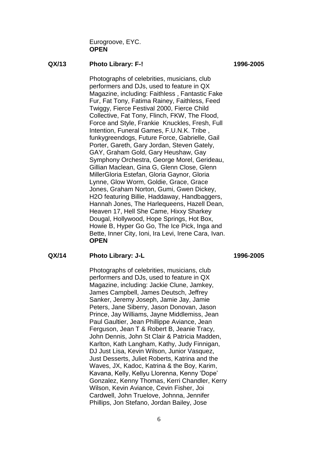Eurogroove, EYC. **OPEN**

#### **QX/13 Photo Library: F-! 1996-2005**

Photographs of celebrities, musicians, club performers and DJs, used to feature in QX Magazine, including: Faithless , Fantastic Fake Fur, Fat Tony, Fatima Rainey, Faithless, Feed Twiggy, Fierce Festival 2000, Fierce Child Collective, Fat Tony, Flinch, FKW, The Flood, Force and Style, Frankie Knuckles, Fresh, Full Intention, Funeral Games, F.U.N.K. Tribe , funkygreendogs, Future Force, Gabrielle, Gail Porter, Gareth, Gary Jordan, Steven Gately, GAY, Graham Gold, Gary Heushaw, Gay Symphony Orchestra, George Morel, Gerideau, Gillian Maclean, Gina G, Glenn Close, Glenn MillerGloria Estefan, Gloria Gaynor, Gloria Lynne, Glow Worm, Goldie, Grace, Grace Jones, Graham Norton, Gumi, Gwen Dickey, H2O featuring Billie, Haddaway, Handbaggers, Hannah Jones, The Harlequeens, Hazell Dean, Heaven 17, Hell She Came, Hixxy Sharkey Dougal, Hollywood, Hope Springs, Hot Box, Howie B, Hyper Go Go, The Ice Pick, Inga and Bette, Inner City, Ioni, Ira Levi, Irene Cara, Ivan. **OPEN**

#### **QX/14 Photo Library: J-L 1996-2005**

Photographs of celebrities, musicians, club performers and DJs, used to feature in QX Magazine, including: Jackie Clune, Jamkey, James Campbell, James Deutsch, Jeffrey Sanker, Jeremy Joseph, Jamie Jay, Jamie Peters, Jane Siberry, Jason Donovan, Jason Prince, Jay Williams, Jayne Middlemiss, Jean Paul Gaultier, Jean Phillippe Aviance, Jean Ferguson, Jean T & Robert B, Jeanie Tracy, John Dennis, John St Clair & Patricia Madden, Karlton, Kath Langham, Kathy, Judy Finnigan, DJ Just Lisa, Kevin Wilson, Junior Vasquez, Just Desserts, Juliet Roberts, Katrina and the Waves, JX, Kadoc, Katrina & the Boy, Karim, Kavana, Kelly, Kellyu Llorenna, Kenny 'Dope' Gonzalez, Kenny Thomas, Kerri Chandler, Kerry Wilson, Kevin Aviance, Cevin Fisher, Joi Cardwell, John Truelove, Johnna, Jennifer Phillips, Jon Stefano, Jordan Bailey, Jose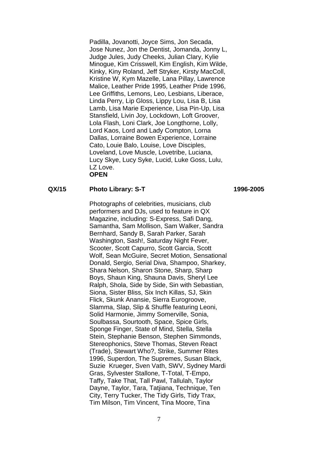Padilla, Jovanotti, Joyce Sims, Jon Secada, Jose Nunez, Jon the Dentist, Jomanda, Jonny L, Judge Jules, Judy Cheeks, Julian Clary, Kylie Minogue, Kim Crisswell, Kim English, Kim Wilde, Kinky, Kiny Roland, Jeff Stryker, Kirsty MacColl, Kristine W, Kym Mazelle, Lana Pillay, Lawrence Malice, Leather Pride 1995, Leather Pride 1996, Lee Griffiths, Lemons, Leo, Lesbians, Liberace, Linda Perry, Lip Gloss, Lippy Lou, Lisa B, Lisa Lamb, Lisa Marie Experience, Lisa Pin-Up, Lisa Stansfield, Livin Joy, Lockdown, Loft Groover, Lola Flash, Loni Clark, Joe Longthorne, Lolly, Lord Kaos, Lord and Lady Compton, Lorna Dallas, Lorraine Bowen Experience, Lorraine Cato, Louie Balo, Louise, Love Disciples, Loveland, Love Muscle, Lovetribe, Luciana, Lucy Skye, Lucy Syke, Lucid, Luke Goss, Lulu, LZ Love. **OPEN**

#### **QX/15 Photo Library: S-T 1996-2005**

Photographs of celebrities, musicians, club performers and DJs, used to feature in QX Magazine, including: S-Express, Safi Dang, Samantha, Sam Mollison, Sam Walker, Sandra Bernhard, Sandy B, Sarah Parker, Sarah Washington, Sash!, Saturday Night Fever, Scooter, Scott Capurro, Scott Garcia, Scott Wolf, Sean McGuire, Secret Motion, Sensational Donald, Sergio, Serial Diva, Shampoo, Sharkey, Shara Nelson, Sharon Stone, Sharp, Sharp Boys, Shaun King, Shauna Davis, Sheryl Lee Ralph, Shola, Side by Side, Sin with Sebastian, Siona, Sister Bliss, Six Inch Killas, SJ, Skin Flick, Skunk Anansie, Sierra Eurogroove, Slamma, Slap, Slip & Shuffle featuring Leoni, Solid Harmonie, Jimmy Somerville, Sonia, Soulbassa, Sourtooth, Space, Spice Girls, Sponge Finger, State of Mind, Stella, Stella Stein, Stephanie Benson, Stephen Simmonds, Stereophonics, Steve Thomas, Steven React (Trade), Stewart Who?, Strike, Summer Rites 1996, Superdon, The Supremes, Susan Black, Suzie Krueger, Sven Vath, SWV, Sydney Mardi Gras, Sylvester Stallone, T-Total, T-Empo, Taffy, Take That, Tall Pawl, Tallulah, Taylor Dayne, Taylor, Tara, Tatjiana, Technique, Ten City, Terry Tucker, The Tidy Girls, Tidy Trax, Tim Milson, Tim Vincent, Tina Moore, Tina

7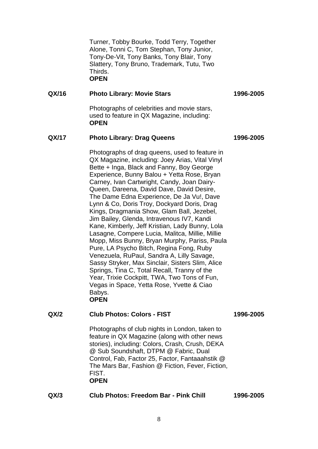Turner, Tobby Bourke, Todd Terry, Together Alone, Tonni C, Tom Stephan, Tony Junior, Tony-De-Vit, Tony Banks, Tony Blair, Tony Slattery, Tony Bruno, Trademark, Tutu, Two Thirds. **OPEN**

#### **QX/16 Photo Library: Movie Stars 1996-2005**

Photographs of celebrities and movie stars, used to feature in QX Magazine, including: **OPEN**

#### **QX/17 Photo Library: Drag Queens 1996-2005**

Photographs of drag queens, used to feature in QX Magazine, including: Joey Arias, Vital Vinyl Bette + Inga, Black and Fanny, Boy George Experience, Bunny Balou + Yetta Rose, Bryan Carney, Ivan Cartwright, Candy, Joan Dairy-Queen, Dareena, David Dave, David Desire, The Dame Edna Experience, De Ja Vu!, Dave Lynn & Co, Doris Troy, Dockyard Doris, Drag Kings, Dragmania Show, Glam Ball, Jezebel, Jim Bailey, Glenda, Intravenous IV7, Kandi Kane, Kimberly, Jeff Kristian, Lady Bunny, Lola Lasagne, Compere Lucia, Malitca, Millie, Millie Mopp, Miss Bunny, Bryan Murphy, Pariss, Paula Pure, LA Psycho Bitch, Regina Fong, Ruby Venezuela, RuPaul, Sandra A, Lilly Savage, Sassy Stryker, Max Sinclair, Sisters Slim, Alice Springs, Tina C, Total Recall, Tranny of the Year, Trixie Cockpitt, TWA, Two Tons of Fun, Vegas in Space, Yetta Rose, Yvette & Ciao Babys. **OPEN**

#### **QX/2 Club Photos: Colors - FIST 1996-2005**

Photographs of club nights in London, taken to feature in QX Magazine (along with other news stories), including: Colors, Crash, Crush, DEKA @ Sub Soundshaft, DTPM @ Fabric, Dual Control, Fab, Factor 25, Factor, Fantaaahstik @ The Mars Bar, Fashion @ Fiction, Fever, Fiction, FIST. **OPEN**

| <b>Club Photos: Freedom Bar - Pink Chill</b> | QX/3 | 1996-2005 |
|----------------------------------------------|------|-----------|
|----------------------------------------------|------|-----------|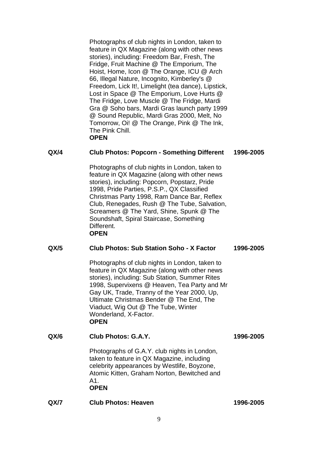Photographs of club nights in London, taken to feature in QX Magazine (along with other news stories), including: Freedom Bar, Fresh, The Fridge, Fruit Machine @ The Emporium, The Hoist, Home, Icon @ The Orange, ICU @ Arch 66, Illegal Nature, Incognito, Kimberley's @ Freedom, Lick It!, Limelight (tea dance), Lipstick, Lost in Space @ The Emporium, Love Hurts @ The Fridge, Love Muscle @ The Fridge, Mardi Gra @ Soho bars, Mardi Gras launch party 1999 @ Sound Republic, Mardi Gras 2000, Melt, No Tomorrow, Oi! @ The Orange, Pink @ The Ink, The Pink Chill. **OPEN**

#### **QX/4 Club Photos: Popcorn - Something Different 1996-2005**

Photographs of club nights in London, taken to feature in QX Magazine (along with other news stories), including: Popcorn, Popstarz, Pride 1998, Pride Parties, P.S.P., QX Classified Christmas Party 1998, Ram Dance Bar, Reflex Club, Renegades, Rush @ The Tube, Salvation, Screamers @ The Yard, Shine, Spunk @ The Soundshaft, Spiral Staircase, Something Different. **OPEN**

#### **QX/5 Club Photos: Sub Station Soho - X Factor 1996-2005**

Photographs of club nights in London, taken to feature in QX Magazine (along with other news stories), including: Sub Station, Summer Rites 1998, Supervixens @ Heaven, Tea Party and Mr Gay UK, Trade, Tranny of the Year 2000, Up, Ultimate Christmas Bender @ The End, The Viaduct, Wig Out @ The Tube, Winter Wonderland, X-Factor. **OPEN**

# **QX/6 Club Photos: G.A.Y. 1996-2005**

Photographs of G.A.Y. club nights in London, taken to feature in QX Magazine, including celebrity appearances by Westlife, Boyzone, Atomic Kitten, Graham Norton, Bewitched and A1. **OPEN**

**QX/7 Club Photos: Heaven 1996-2005**